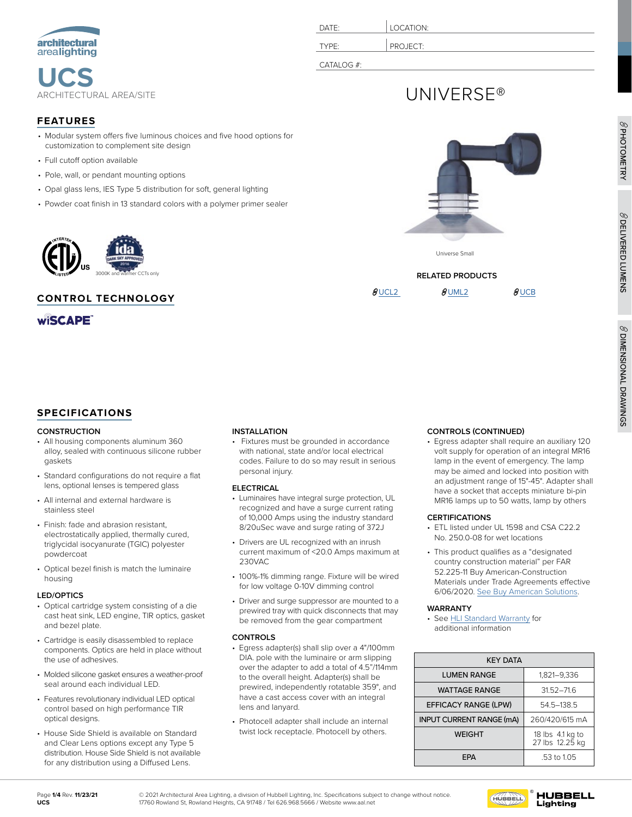

| <b>FEATURES</b> | $\infty$ |
|-----------------|----------|
|                 |          |

- Modular system offers five luminous choices and five hood options for customization to complement site design
- Full cutoff option available
- Pole, wall, or pendant mounting options
- Opal glass lens, IES Type 5 distribution for soft, general lighting
- Powder coat finish in 13 standard colors with a polymer primer sealer



### **CONTROL TECHNOLOGY**

**wiSCAPE** 

# **SPECIFICATIONS**

### **CONSTRUCTION**

- All housing components aluminum 360 alloy, sealed with continuous silicone rubber gaskets
- Standard configurations do not require a flat lens, optional lenses is tempered glass
- All internal and external hardware is stainless steel
- Finish: fade and abrasion resistant, electrostatically applied, thermally cured, triglycidal isocyanurate (TGIC) polyester powdercoat
- Optical bezel finish is match the luminaire housing

### **LED/OPTICS**

- Optical cartridge system consisting of a die cast heat sink, LED engine, TIR optics, gasket and bezel plate.
- Cartridge is easily disassembled to replace components. Optics are held in place without the use of adhesives.
- Molded silicone gasket ensures a weather-proof seal around each individual LED.
- Features revolutionary individual LED optical control based on high performance TIR optical designs.
- House Side Shield is available on Standard and Clear Lens options except any Type 5 distribution. House Side Shield is not available for any distribution using a Diffused Lens.

• Fixtures must be grounded in accordance with national, state and/or local electrical codes. Failure to do so may result in serious personal injury.

### **ELECTRICAL**

- Luminaires have integral surge protection, UL recognized and have a surge current rating of 10,000 Amps using the industry standard 8/20uSec wave and surge rating of 372J
- Drivers are UL recognized with an inrush current maximum of <20.0 Amps maximum at 230VAC
- 100%-1% dimming range. Fixture will be wired for low voltage 0-10V dimming control
- Driver and surge suppressor are mounted to a prewired tray with quick disconnects that may be removed from the gear compartment

### **CONTROLS**

- Egress adapter(s) shall slip over a 4"/100mm DIA. pole with the luminaire or arm slipping over the adapter to add a total of 4.5"/114mm to the overall height. Adapter(s) shall be prewired, independently rotatable 359°, and have a cast access cover with an integral lens and lanyard.
- Photocell adapter shall include an internal twist lock receptacle. Photocell by others.

# DATE: **LOCATION:** TYPE: **PROJECT** CATALOG #:

# UNIVERSE®





# $\theta$ [UCL2](https://www.hubbell.com/architecturalarealighting/en/Products/Lighting-Controls/Commercial-Outdoor-Lighting/Decorative-Post-Top/Universe-Large/p/220821)  $\theta$ [UML2](https://www.hubbell.com/architecturalarealighting/en/Products/Lighting-Controls/Commercial-Outdoor-Lighting/Decorative-Post-Top/Universe-Medium/p/220836)  $\theta$ [UCB](https://www.hubbell.com/architecturalarealighting/en/Products/Lighting-Controls/Commercial-Outdoor-Lighting/Bollards/Universe-Bollard/p/220610)

PHOTOMETRY

 $\beta$  DELIVERED LUMENS DELIVERED LUMENS

### **CONTROLS (CONTINUED)**

• Egress adapter shall require an auxiliary 120 volt supply for operation of an integral MR16 lamp in the event of emergency. The lamp may be aimed and locked into position with an adjustment range of 15°-45°. Adapter shall have a socket that accepts miniature bi-pin MR16 lamps up to 50 watts, lamp by others

### **CERTIFICATIONS**

- ETL listed under UL 1598 and CSA C22.2 No. 250.0-08 for wet locations
- This product qualifies as a "designated country construction material" per FAR 52.225-11 Buy American-Construction Materials under Trade Agreements effective 6/06/2020. [See Buy American Solutions.](https://www.hubbell.com/hubbelllightingci/en/buyamerican)

### **WARRANTY**

• See [HLI Standard Warranty](https://hubbellcdn.com/warranty/Hubbell%20Lighting%20Indoor%20Limited%20Warranty%20-%2030%20Jan%202015.pdf) for additional information

| <b>KEY DATA</b>                 |                                     |  |  |  |  |
|---------------------------------|-------------------------------------|--|--|--|--|
| <b>LUMEN RANGE</b>              | 1,821-9,336                         |  |  |  |  |
| <b>WATTAGE RANGE</b>            | $31.52 - 71.6$                      |  |  |  |  |
| <b>EFFICACY RANGE (LPW)</b>     | 54.5-138.5                          |  |  |  |  |
| <b>INPUT CURRENT RANGE (mA)</b> | 260/420/615 mA                      |  |  |  |  |
| <b>WEIGHT</b>                   | 18 lbs 4.1 kg to<br>27 lbs 12.25 kg |  |  |  |  |
| FP∆                             | .53 to 1.05                         |  |  |  |  |

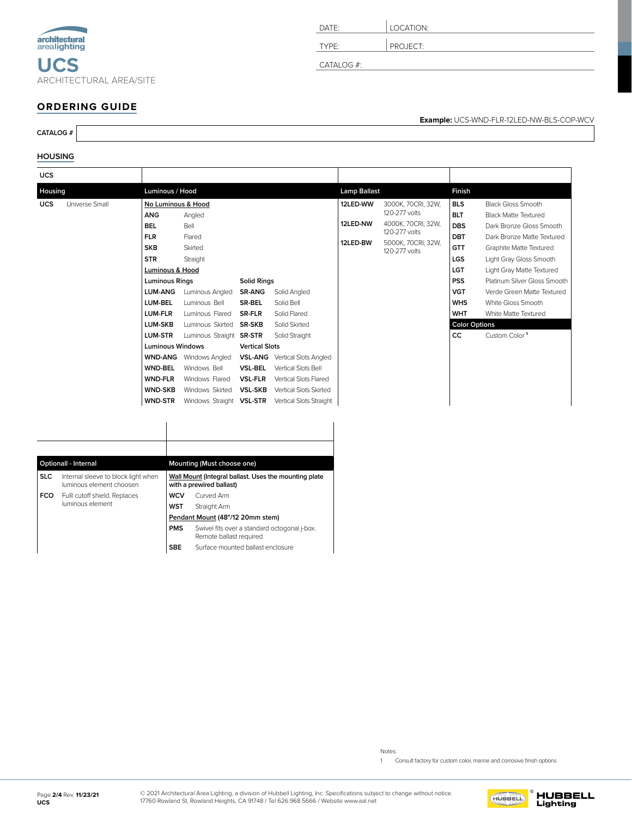| architectural<br>arealighting |                                |
|-------------------------------|--------------------------------|
| UGS                           |                                |
|                               | <b>ARCHITECTURAL AREA/SITE</b> |

| DATE:      | LOCATION: |
|------------|-----------|
| TYPE:      | PROJECT:  |
| CATALOG #: |           |

# **ORDERING GUIDE**

**CATALOG #**

### **HOUSING**

| <b>UCS</b>                   |                                                                                                                                                                                                                                                                                                                                       |                                                                                                                                                                                                                                                           |                                                                                                                                                                       |                                                                                                                                                                                                                                   |                                  |                                                                                                                   |                                                                                                                                                                        |                                                                                                                                                                                                                                                                                                                                                |
|------------------------------|---------------------------------------------------------------------------------------------------------------------------------------------------------------------------------------------------------------------------------------------------------------------------------------------------------------------------------------|-----------------------------------------------------------------------------------------------------------------------------------------------------------------------------------------------------------------------------------------------------------|-----------------------------------------------------------------------------------------------------------------------------------------------------------------------|-----------------------------------------------------------------------------------------------------------------------------------------------------------------------------------------------------------------------------------|----------------------------------|-------------------------------------------------------------------------------------------------------------------|------------------------------------------------------------------------------------------------------------------------------------------------------------------------|------------------------------------------------------------------------------------------------------------------------------------------------------------------------------------------------------------------------------------------------------------------------------------------------------------------------------------------------|
| Housing                      | Luminous / Hood                                                                                                                                                                                                                                                                                                                       |                                                                                                                                                                                                                                                           |                                                                                                                                                                       |                                                                                                                                                                                                                                   | <b>Lamp Ballast</b>              |                                                                                                                   | Finish                                                                                                                                                                 |                                                                                                                                                                                                                                                                                                                                                |
| <b>UCS</b><br>Universe Small | No Luminous & Hood<br><b>ANG</b><br><b>BEL</b><br><b>FLR</b><br><b>SKB</b><br><b>STR</b><br>Luminous & Hood<br><b>Luminous Rings</b><br><b>LUM-ANG</b><br>LUM-BEL<br>LUM-FLR<br><b>LUM-SKB</b><br><b>LUM-STR</b><br><b>Luminous Windows</b><br><b>WND-ANG</b><br><b>WND-BEL</b><br><b>WND-FLR</b><br><b>WND-SKB</b><br><b>WND-STR</b> | Angled<br>Bell<br>Flared<br>Skirted<br>Straight<br>Luminous Angled<br>Luminous Bell<br>Luminous Flared<br>Luminous Skirted<br>Luminous Straight SR-STR<br>Windows Angled<br>Windows Bell<br>Windows Flared<br>Windows Skirted<br>Windows Straight VSL-STR | <b>Solid Rings</b><br><b>SR-ANG</b><br><b>SR-BEL</b><br><b>SR-FLR</b><br><b>SR-SKB</b><br><b>Vertical Slots</b><br><b>VSL-BEL</b><br><b>VSL-FLR</b><br><b>VSL-SKB</b> | Solid Angled<br>Solid Bell<br>Solid Flared<br>Solid Skirted<br>Solid Straight<br><b>VSL-ANG</b> Vertical Slots Angled<br>Vertical Slots Bell<br>Vertical Slots Flared<br><b>Vertical Slots Skirted</b><br>Vertical Slots Straight | 12LED-WW<br>12LED-NW<br>12LED-BW | 3000K, 70CRI, 32W,<br>120-277 volts<br>4000K, 70CRI, 32W.<br>120-277 volts<br>5000K, 70CRI, 32W,<br>120-277 volts | <b>BLS</b><br><b>BLT</b><br><b>DBS</b><br><b>DBT</b><br><b>GTT</b><br>LGS<br>LGT<br><b>PSS</b><br><b>VGT</b><br><b>WHS</b><br><b>WHT</b><br><b>Color Options</b><br>cc | <b>Black Gloss Smooth</b><br><b>Black Matte Textured</b><br>Dark Bronze Gloss Smooth<br>Dark Bronze Matte Textured<br>Graphite Matte Textured<br>Light Gray Gloss Smooth<br>Light Gray Matte Textured<br>Platinum Silver Gloss Smooth<br>Verde Green Matte Textured<br>White Gloss Smooth<br>White Matte Textured<br>Custom Color <sup>1</sup> |

| <b>Optionall - Internal</b>                                                   |                               |                                                                                   | Mounting (Must choose one)                                              |  |  |
|-------------------------------------------------------------------------------|-------------------------------|-----------------------------------------------------------------------------------|-------------------------------------------------------------------------|--|--|
| <b>SLC</b><br>Internal sleeve to block light when<br>luminous element choosen |                               | Wall Mount (Integral ballast. Uses the mounting plate<br>with a prewired ballast) |                                                                         |  |  |
| <b>FCO</b>                                                                    | Fulll cutoff shield. Replaces | WCV                                                                               | Curved Arm                                                              |  |  |
|                                                                               | luminous element              | WST                                                                               | Straight Arm                                                            |  |  |
|                                                                               |                               | Pendant Mount (48"/12 20mm stem)                                                  |                                                                         |  |  |
|                                                                               |                               | <b>PMS</b>                                                                        | Swivel fits over a standard octogonal j-box.<br>Remote ballast required |  |  |
|                                                                               |                               | <b>SBE</b>                                                                        | Surface mounted ballast enclosure                                       |  |  |

**Example:** UCS-WND-FLR-12LED-NW-BLS-COP-WCV

Notes:

1 Consult factory for custom color, marine and corrosive finish options

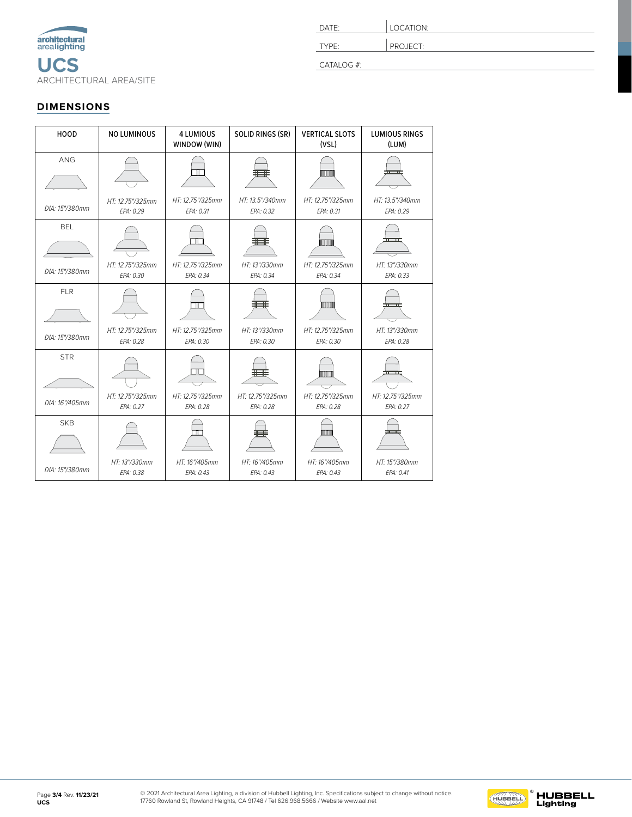<span id="page-2-0"></span>

| DATE:      | LOCATION: |
|------------|-----------|
| TYPE:      | PROJECT:  |
| CATALOG #: |           |

# **DIMENSIONS**

| HOOD                         | <b>NO LUMINOUS</b>            | <b>4 LUMIOUS</b><br>WINDOW (WIN) | <b>SOLID RINGS (SR)</b><br><b>VERTICAL SLOTS</b><br>(VSL) |                                                  | <b>LUMIOUS RINGS</b><br>(LUM) |
|------------------------------|-------------------------------|----------------------------------|-----------------------------------------------------------|--------------------------------------------------|-------------------------------|
| <b>ANG</b>                   |                               |                                  |                                                           | <b>TINUITI</b>                                   |                               |
| DIA: 15"/380mm               | HT: 12.75"/325mm<br>EPA: 0.29 | HT: 12.75"/325mm<br>EPA: 0.31    | HT: 13.5"/340mm<br>EPA: 0.32                              | HT: 12.75"/325mm<br>EPA: 0.31                    | HT: 13.5"/340mm<br>EPA: 0.29  |
| <b>BEL</b><br>DIA: 15"/380mm | HT: 12.75"/325mm<br>EPA: 0.30 | HT: 12.75"/325mm<br>EPA: 0.34    | HT: 13"/330mm<br>EPA: 0.34                                | TIMM<br>HT: 12.75"/325mm<br>EPA: 0.34            | HT: 13"/330mm<br>EPA: 0.33    |
| <b>FLR</b><br>DIA: 15"/380mm | HT: 12.75"/325mm<br>EPA: 0.28 | HT: 12.75"/325mm<br>EPA: 0.30    | HT: 13"/330mm<br>EPA: 0.30                                | <b>HIIIIIII</b><br>HT: 12.75"/325mm<br>EPA: 0.30 | HT: 13"/330mm<br>EPA: 0.28    |
| <b>STR</b><br>DIA: 16"/405mm | HT: 12.75"/325mm<br>EPA: 0.27 | HT: 12.75"/325mm<br>EPA: 0.28    | HT: 12.75"/325mm<br>EPA: 0.28                             | <b>TIMOTION</b><br>HT: 12.75"/325mm<br>EPA: 0.28 | HT: 12.75"/325mm<br>EPA: 0.27 |
| <b>SKB</b><br>DIA: 15"/380mm | HT: 13"/330mm<br>EPA: 0.38    | ╥<br>HT: 16"/405mm<br>EPA: 0.43  | HT: 16"/405mm<br>EPA: 0.43                                | non<br>HT: 16"/405mm<br>EPA: 0.43                | HT: 15"/380mm<br>EPA: 0.41    |